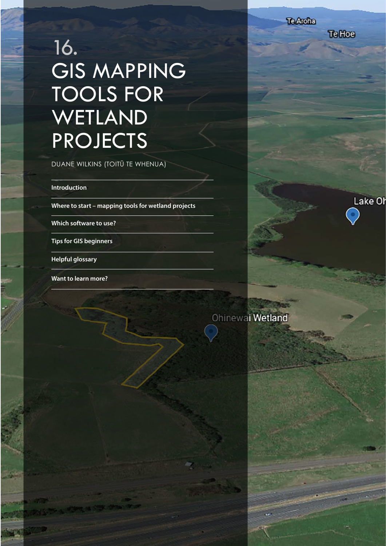**TeHoe** 

Lake Of

TE REOR EN 1990 EN 1990 EN 1990 EN 1990 EN 1990 EN 1990 EN 1990 EN 1990 EN 1990 EN 1990 EN 1990 EN 1990 EN 199

# 16. **GIS MAPPING** TOOLS FOR WETLAND PROJECTS

DUANE WILKINS (TOITŪ TE WHENUA)

**Introduction**

**Where to start – mapping tools for wetland projects**

**Which software to use?**

**Tips for GIS beginners**

**Helpful glossary**

**Want to learn more?**

Ohinewai Wetland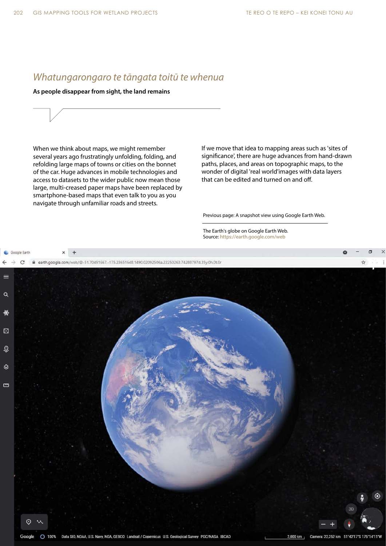# *Whatungarongaro te tāngata toitū te whenua*

**As people disappear from sight, the land remains**

When we think about maps, we might remember several years ago frustratingly unfolding, folding, and refolding large maps of towns or cities on the bonnet of the car. Huge advances in mobile technologies and access to datasets to the wider public now mean those large, multi-creased paper maps have been replaced by smartphone-based maps that even talk to you as you navigate through unfamiliar roads and streets.

If we move that idea to mapping areas such as 'sites of significance', there are huge advances from hand-drawn paths, places, and areas on topographic maps, to the wonder of digital 'real world'images with data layers that can be edited and turned on and off.

Previous page: A snapshot view using Google Earth Web.

The Earth's globe on Google Earth Web. Source: https://earth.google.com/web

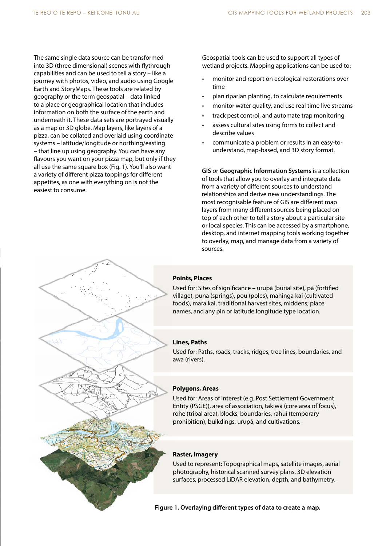The same single data source can be transformed into 3D (three dimensional) scenes with flythrough capabilities and can be used to tell a story – like a journey with photos, video, and audio using Google Earth and StoryMaps. These tools are related by geography or the term geospatial – data linked to a place or geographical location that includes information on both the surface of the earth and underneath it. These data sets are portrayed visually as a map or 3D globe. Map layers, like layers of a pizza, can be collated and overlaid using coordinate systems – latitude/longitude or northing/easting – that line up using geography. You can have any flavours you want on your pizza map, but only if they all use the same square box (Fig. 1). You'll also want a variety of different pizza toppings for different appetites, as one with everything on is not the easiest to consume.

Geospatial tools can be used to support all types of wetland projects. Mapping applications can be used to:

- monitor and report on ecological restorations over time
- plan riparian planting, to calculate requirements
- monitor water quality, and use real time live streams
- track pest control, and automate trap monitoring
- assess cultural sites using forms to collect and describe values
- communicate a problem or results in an easy-tounderstand, map-based, and 3D story format.

**GIS** or **Geographic Information Systems** is a collection of tools that allow you to overlay and integrate data from a variety of different sources to understand relationships and derive new understandings. The most recognisable feature of GIS are different map layers from many different sources being placed on top of each other to tell a story about a particular site or local species. This can be accessed by a smartphone, desktop, and internet mapping tools working together to overlay, map, and manage data from a variety of sources.

### **Points, Places**

Used for: Sites of significance – urupā (burial site), pā (fortified village), puna (springs), pou (poles), mahinga kai (cultivated foods), mara kai, traditional harvest sites, middens; place names, and any pin or latitude longitude type location.

#### **Lines, Paths**

Used for: Paths, roads, tracks, ridges, tree lines, boundaries, and awa (rivers).

### **Polygons, Areas**

Used for: Areas of interest (e.g. Post Settlement Government Entity (PSGE)), area of association, takiwā (core area of focus), rohe (tribal area), blocks, boundaries, rahuī (temporary prohibition), buikdings, urupā, and cultivations.

#### **Raster, Imagery**

Used to represent: Topographical maps, satellite images, aerial photography, historical scanned survey plans, 3D elevation surfaces, processed LiDAR elevation, depth, and bathymetry.

**Figure 1. Overlaying different types of data to create a map.**

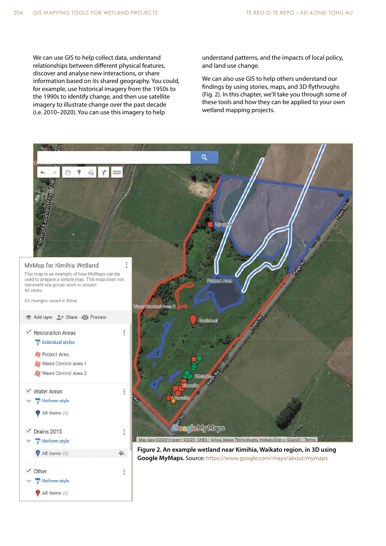We can use GIS to help collect data, understand relationships between different physical features, discover and analyse new interactions, or share information based on its shared geography. You could, for example, use historical imagery from the 1950s to the 1990s to identify change, and then use satellite imagery to illustrate change over the past decade (i.e. 2010–2020). You can use this imagery to help

understand patterns, and the impacts of local policy, and land use change.

We can also use GIS to help others understand our findings by using stories, maps, and 3D flythroughs (Fig. 2). In this chapter, we'll take you through some of these tools and how they can be applied to your own wetland mapping projects.

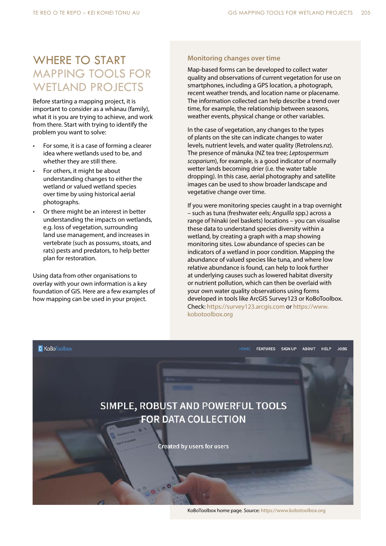# WHERE TO START MAPPING TOOLS FOR WETLAND PROJECTS

Before starting a mapping project, it is important to consider as a whānau (family), what it is you are trying to achieve, and work from there. Start with trying to identify the problem you want to solve:

- For some, it is a case of forming a clearer idea where wetlands used to be, and whether they are still there.
- For others, it might be about understanding changes to either the wetland or valued wetland species over time by using historical aerial photographs.
- Or there might be an interest in better understanding the impacts on wetlands, e.g. loss of vegetation, surrounding land use management, and increases in vertebrate (such as possums, stoats, and rats) pests and predators, to help better plan for restoration.

Using data from other organisations to overlay with your own information is a key foundation of GIS. Here are a few examples of how mapping can be used in your project.

### **Monitoring changes over time**

Map-based forms can be developed to collect water quality and observations of current vegetation for use on smartphones, including a GPS location, a photograph, recent weather trends, and location name or placename. The information collected can help describe a trend over time, for example, the relationship between seasons, weather events, physical change or other variables.

In the case of vegetation, any changes to the types of plants on the site can indicate changes to water levels, nutrient levels, and water quality (Retrolens.nz). The presence of mānuka (NZ tea tree; *Leptospermum scoparium*), for example, is a good indicator of normally wetter lands becoming drier (i.e. the water table dropping). In this case, aerial photography and satellite images can be used to show broader landscape and vegetative change over time.

If you were monitoring species caught in a trap overnight – such as tuna (freshwater eels; *Anguilla* spp.) across a range of hīnaki (eel baskets) locations – you can visualise these data to understand species diversity within a wetland, by creating a graph with a map showing monitoring sites. Low abundance of species can be indicators of a wetland in poor condition. Mapping the abundance of valued species like tuna, and where low relative abundance is found, can help to look further at underlying causes such as lowered habitat diversity or nutrient pollution, which can then be overlaid with your own water quality observations using forms developed in tools like ArcGIS Survey123 or KoBoToolbox. Check: https://survey123.arcgis.com or https://www. kobotoolbox.org



KoBoToolbox home page. Source: https://www.kobotoolbox.org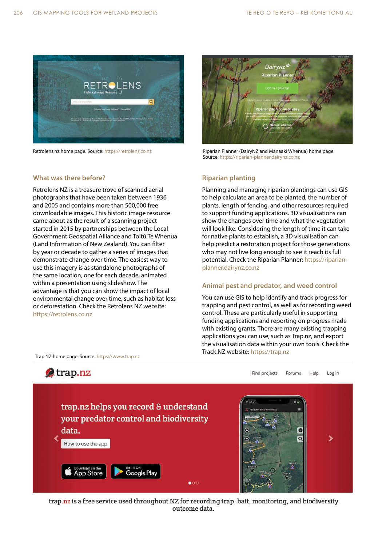

Retrolens.nz home page. Source: https://retrolens.co.nz

# **What was there before?**

Retrolens NZ is a treasure trove of scanned aerial photographs that have been taken between 1936 and 2005 and contains more than 500,000 free downloadable images. This historic image resource came about as the result of a scanning project started in 2015 by partnerships between the Local Government Geospatial Alliance and Toitū Te Whenua (Land Information of New Zealand). You can filter by year or decade to gather a series of images that demonstrate change over time. The easiest way to use this imagery is as standalone photographs of the same location, one for each decade, animated within a presentation using slideshow. The advantage is that you can show the impact of local environmental change over time, such as habitat loss or deforestation. Check the Retrolens NZ website: https://retrolens.co.nz



Riparian Planner (DairyNZ and Manaaki Whenua) home page. Source: https://riparian-planner.dairynz.co.nz

## **Riparian planting**

Planning and managing riparian plantings can use GIS to help calculate an area to be planted, the number of plants, length of fencing, and other resources required to support funding applications. 3D visualisations can show the changes over time and what the vegetation will look like. Considering the length of time it can take for native plants to establish, a 3D visualisation can help predict a restoration project for those generations who may not live long enough to see it reach its full potential. Check the Riparian Planner: https://riparianplanner.dairynz.co.nz

## **Animal pest and predator, and weed control**

You can use GIS to help identify and track progress for trapping and pest control, as well as for recording weed control. These are particularly useful in supporting funding applications and reporting on progress made with existing grants. There are many existing trapping applications you can use, such as Trap.nz, and export the visualisation data within your own tools. Check the Track.NZ website: https://trap.nz



trap.nz is a free service used throughout NZ for recording trap, bait, monitoring, and biodiversity outcome data.

Trap.NZ home page. Source: https://www.trap.nz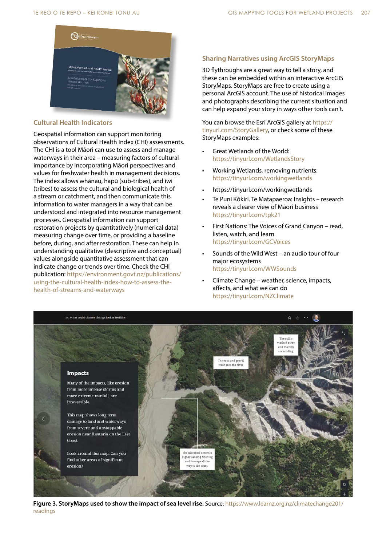

### **Cultural Health Indicators**

Geospatial information can support monitoring observations of Cultural Health Index (CHI) assessments. The CHI is a tool Māori can use to assess and manage waterways in their area – measuring factors of cultural importance by incorporating Māori perspectives and values for freshwater health in management decisions. The index allows whānau, hapū (sub-tribes), and iwi (tribes) to assess the cultural and biological health of a stream or catchment, and then communicate this information to water managers in a way that can be understood and integrated into resource management processes. Geospatial information can support restoration projects by quantitatively (numerical data) measuring change over time, or providing a baseline before, during, and after restoration. These can help in understanding qualitative (descriptive and conceptual) values alongside quantitative assessment that can indicate change or trends over time. Check the CHI publication: https://environment.govt.nz/publications/ using-the-cultural-health-index-how-to-assess-thehealth-of-streams-and-waterways

# **Sharing Narratives using ArcGIS StoryMaps**

3D flythroughs are a great way to tell a story, and these can be embedded within an interactive ArcGIS StoryMaps. StoryMaps are free to create using a personal ArcGIS account. The use of historical images and photographs describing the current situation and can help expand your story in ways other tools can't.

You can browse the Esri ArcGIS gallery at https:// tinyurl.com/StoryGallery, or check some of these StoryMaps examples:

- Great Wetlands of the World: https://tinyurl.com/WetlandsStory
- Working Wetlands, removing nutrients: https://tinyurl.com/workingwetlands
- https://tinyurl.com/workingwetlands
- Te Puni Kōkiri. Te Matapaeroa: Insights research reveals a clearer view of Māori business https://tinyurl.com/tpk21
- First Nations: The Voices of Grand Canyon read, listen, watch, and learn https://tinyurl.com/GCVoices
- Sounds of the Wild West an audio tour of four major ecosystems https://tinyurl.com/WWSounds
- Climate Change weather, science, impacts, affects, and what we can do https://tinyurl.com/NZClimate



**Figure 3. StoryMaps used to show the impact of sea level rise.** Source: https://www.learnz.org.nz/climatechange201/ readings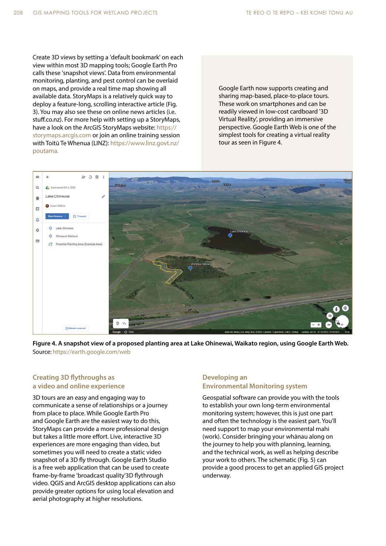Create 3D views by setting a 'default bookmark' on each view within most 3D mapping tools; Google Earth Pro calls these 'snapshot views'. Data from environmental monitoring, planting, and pest control can be overlaid on maps, and provide a real time map showing all available data. StoryMaps is a relatively quick way to deploy a feature-long, scrolling interactive article (Fig. 3). You may also see these on online news articles (i.e. stuff.co.nz). For more help with setting up a StoryMaps, have a look on the ArcGIS StoryMaps website: https:// storymaps.arcgis.com or join an online training session with Toitū Te Whenua (LINZ): https://www.linz.govt.nz/ poutama.

Google Earth now supports creating and sharing map-based, place-to-place tours. These work on smartphones and can be readily viewed in low-cost cardboard '3D Virtual Reality', providing an immersive perspective. Google Earth Web is one of the simplest tools for creating a virtual reality tour as seen in Figure 4.



**Figure 4. A snapshot view of a proposed planting area at Lake Ohinewai, Waikato region, using Google Earth Web.** Source: https://earth.google.com/web

# **Creating 3D flythroughs as a video and online experience**

3D tours are an easy and engaging way to communicate a sense of relationships or a journey from place to place. While Google Earth Pro and Google Earth are the easiest way to do this, StoryMaps can provide a more professional design but takes a little more effort. Live, interactive 3D experiences are more engaging than video, but sometimes you will need to create a static video snapshot of a 3D fly through. Google Earth Studio is a free web application that can be used to create frame-by-frame 'broadcast quality'3D flythrough video. QGIS and ArcGIS desktop applications can also provide greater options for using local elevation and aerial photography at higher resolutions.

# **Developing an Environmental Monitoring system**

Geospatial software can provide you with the tools to establish your own long-term environmental monitoring system; however, this is just one part and often the technology is the easiest part. You'll need support to map your environmental mahi (work). Consider bringing your whānau along on the journey to help you with planning, learning, and the technical work, as well as helping describe your work to others. The schematic (Fig. 5) can provide a good process to get an applied GIS project underway.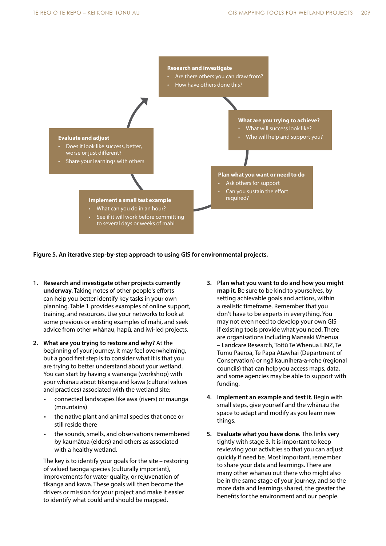

**Figure 5. An iterative step-by-step approach to using GIS for environmental projects.**

- **1. Research and investigate other projects currently underway.** Taking notes of other people's efforts can help you better identify key tasks in your own planning. Table 1 provides examples of online support, training, and resources. Use your networks to look at some previous or existing examples of mahi, and seek advice from other whānau, hapū, and iwi-led projects.
- **2. What are you trying to restore and why?** At the beginning of your journey, it may feel overwhelming, but a good first step is to consider what it is that you are trying to better understand about your wetland. You can start by having a wānanga (workshop) with your whānau about tikanga and kawa (cultural values and practices) associated with the wetland site:
	- connected landscapes like awa (rivers) or maunga (mountains)
	- the native plant and animal species that once or still reside there
	- the sounds, smells, and observations remembered by kaumātua (elders) and others as associated with a healthy wetland.

The key is to identify your goals for the site – restoring of valued taonga species (culturally important), improvements for water quality, or rejuvenation of tikanga and kawa. These goals will then become the drivers or mission for your project and make it easier to identify what could and should be mapped.

- **3. Plan what you want to do and how you might map it.** Be sure to be kind to yourselves, by setting achievable goals and actions, within a realistic timeframe. Remember that you don't have to be experts in everything. You may not even need to develop your own GIS if existing tools provide what you need. There are organisations including Manaaki Whenua – Landcare Research, Toitū Te Whenua LINZ, Te Tumu Paeroa, Te Papa Atawhai (Department of Conservation) or ngā kaunihera-a-rohe (regional councils) that can help you access maps, data, and some agencies may be able to support with funding.
- **4. Implement an example and test it.** Begin with small steps, give yourself and the whānau the space to adapt and modify as you learn new things.
- **5. Evaluate what you have done.** This links very tightly with stage 3. It is important to keep reviewing your activities so that you can adjust quickly if need be. Most important, remember to share your data and learnings. There are many other whānau out there who might also be in the same stage of your journey, and so the more data and learnings shared, the greater the benefits for the environment and our people.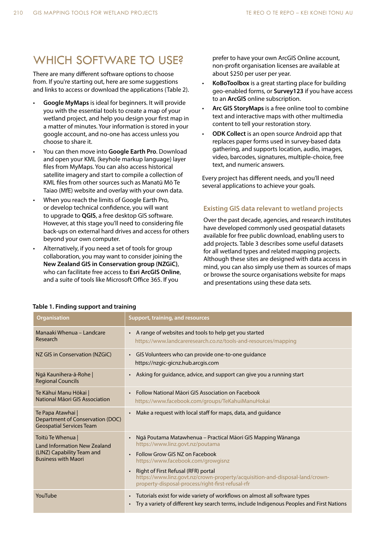# WHICH SOFTWARE TO USE?

There are many different software options to choose from. If you're starting out, here are some suggestions and links to access or download the applications (Table 2).

- **Google MyMaps** is ideal for beginners. It will provide you with the essential tools to create a map of your wetland project, and help you design your first map in a matter of minutes. Your information is stored in your google account, and no-one has access unless you choose to share it.
- You can then move into **Google Earth Pro**. Download and open your KML (keyhole markup language) layer files from MyMaps. You can also access historical satellite imagery and start to compile a collection of KML files from other sources such as Manatū Mō Te Taiao (MfE) website and overlay with your own data.
- When you reach the limits of Google Earth Pro, or develop technical confidence, you will want to upgrade to **QGIS**, a free desktop GIS software. However, at this stage you'll need to considering file back-ups on external hard drives and access for others beyond your own computer.
- Alternatively, if you need a set of tools for group collaboration, you may want to consider joining the **New Zealand GIS in Conservation group (NZGiC)**, who can facilitate free access to **Esri ArcGIS Online**, and a suite of tools like Microsoft Office 365. If you

prefer to have your own ArcGIS Online account, non-profit organisation licenses are available at about \$250 per user per year.

- **KoBoToolbox** is a great starting place for building geo-enabled forms, or **Survey123** if you have access to an **ArcGIS** online subscription.
- **Arc GIS StoryMaps** is a free online tool to combine text and interactive maps with other multimedia content to tell your restoration story.
- **ODK Collect** is an open source Android app that replaces paper forms used in survey-based data gathering, and supports location, audio, images, video, barcodes, signatures, multiple-choice, free text, and numeric answers.

Every project has different needs, and you'll need several applications to achieve your goals.

## **Existing GIS data relevant to wetland projects**

Over the past decade, agencies, and research institutes have developed commonly used geospatial datasets available for free public download, enabling users to add projects. Table 3 describes some useful datasets for all wetland types and related mapping projects. Although these sites are designed with data access in mind, you can also simply use them as sources of maps or browse the source organisations website for maps and presentations using these data sets.

| <b>Organisation</b>                                                                                                  | Support, training, and resources                                                                                                                                                                   |  |
|----------------------------------------------------------------------------------------------------------------------|----------------------------------------------------------------------------------------------------------------------------------------------------------------------------------------------------|--|
| Manaaki Whenua - Landcare<br>Research                                                                                | A range of websites and tools to help get you started<br>$\bullet$<br>https://www.landcareresearch.co.nz/tools-and-resources/mapping                                                               |  |
| NZ GIS in Conservation (NZGiC)                                                                                       | • GIS Volunteers who can provide one-to-one guidance<br>https://nzgic-gicnz.hub.arcgis.com                                                                                                         |  |
| Ngā Kaunihera-ā-Rohe  <br><b>Regional Councils</b>                                                                   | Asking for guidance, advice, and support can give you a running start<br>$\bullet$                                                                                                                 |  |
| Te Kāhui Manu Hōkai  <br>National Māori GIS Association                                                              | Follow National Maori GIS Association on Facebook<br>$\bullet$<br>https://www.facebook.com/groups/TeKahuiManuHokai                                                                                 |  |
| Te Papa Atawhai  <br>Department of Conservation (DOC)<br><b>Geospatial Services Team</b>                             | Make a request with local staff for maps, data, and guidance<br>$\bullet$                                                                                                                          |  |
| Toitū Te Whenua  <br><b>Land Information New Zealand</b><br>(LINZ) Capability Team and<br><b>Business with Maori</b> | Ngā Poutama Matawhenua - Practical Māori GIS Mapping Wānanga<br>$\bullet$<br>https://www.linz.govt.nz/poutama<br>Follow Grow GIS NZ on Facebook<br>$\bullet$<br>https://www.facebook.com/growgisnz |  |
|                                                                                                                      | Right of First Refusal (RFR) portal<br>$\bullet$<br>https://www.linz.govt.nz/crown-property/acquisition-and-disposal-land/crown-<br>property-disposal-process/right-first-refusal-rfr              |  |
| YouTube                                                                                                              | Tutorials exist for wide variety of workflows on almost all software types<br>$\bullet$<br>Try a variety of different key search terms, include Indigenous Peoples and First Nations<br>$\bullet$  |  |

### **Table 1. Finding support and training**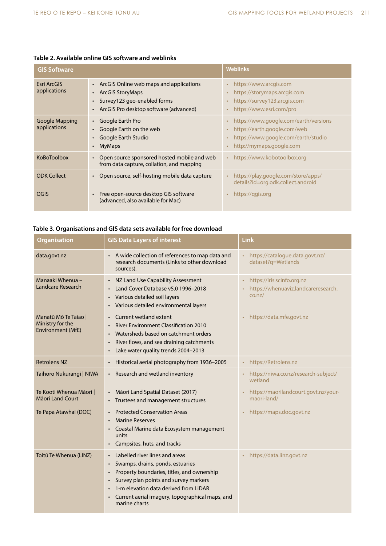| <b>GIS Software</b>            |                                                                                                                                                            | <b>Weblinks</b>                                                                                                                                                                              |
|--------------------------------|------------------------------------------------------------------------------------------------------------------------------------------------------------|----------------------------------------------------------------------------------------------------------------------------------------------------------------------------------------------|
| Esri ArcGIS<br>applications    | • ArcGIS Online web maps and applications<br><b>ArcGIS StoryMaps</b><br>Survey123 geo-enabled forms<br>ArcGIS Pro desktop software (advanced)<br>$\bullet$ | https://www.arcgis.com<br>$\bullet$<br>https://storymaps.arcgis.com<br>$\bullet$<br>https://survey123.arcgis.com<br>$\bullet$<br>https://www.esri.com/pro<br>$\bullet$                       |
| Google Mapping<br>applications | Google Earth Pro<br>Google Earth on the web<br>Google Earth Studio<br><b>MyMaps</b>                                                                        | https://www.google.com/earth/versions<br>$\bullet$<br>https://earth.google.com/web<br>$\bullet$<br>https://www.google.com/earth/studio<br>$\bullet$<br>http://mymaps.google.com<br>$\bullet$ |
| <b>KoBoToolbox</b>             | Open source sponsored hosted mobile and web<br>from data capture, collation, and mapping                                                                   | https://www.kobotoolbox.org<br>$\bullet$                                                                                                                                                     |
| <b>ODK Collect</b>             | Open source, self-hosting mobile data capture                                                                                                              | https://play.google.com/store/apps/<br>$\bullet$<br>details?id=org.odk.collect.android                                                                                                       |
| QGIS                           | Free open-source desktop GIS software<br>(advanced, also available for Mac)                                                                                | https://ggis.org<br>$\bullet$                                                                                                                                                                |

# **Table 2. Available online GIS software and weblinks**

# **Table 3. Organisations and GIS data sets available for free download**

| <b>Organisation</b>                                                  | <b>GIS Data Layers of interest</b>                                                                                                                                                                                                                                                                                         | <b>Link</b>                                                                 |
|----------------------------------------------------------------------|----------------------------------------------------------------------------------------------------------------------------------------------------------------------------------------------------------------------------------------------------------------------------------------------------------------------------|-----------------------------------------------------------------------------|
| data.govt.nz                                                         | A wide collection of references to map data and<br>research documents (Links to other download<br>sources).                                                                                                                                                                                                                | https://catalogue.data.govt.nz/<br>dataset?q=Wetlands                       |
| Manaaki Whenua -<br><b>Landcare Research</b>                         | NZ Land Use Capability Assessment<br>$\bullet$<br>Land Cover Database v5.0 1996-2018<br>$\bullet$<br>Various detailed soil layers<br>$\bullet$<br>Various detailed environmental layers<br>$\bullet$                                                                                                                       | https://lris.scinfo.org.nz<br>https://whenuaviz.landcareresearch.<br>co.nz/ |
| Manatū Mō Te Taiao  <br>Ministry for the<br><b>Environment (MfE)</b> | Current wetland extent<br>$\bullet$<br><b>River Environment Classification 2010</b><br>Watersheds based on catchment orders<br>$\bullet$<br>River flows, and sea draining catchments<br>$\bullet$<br>Lake water quality trends 2004-2013<br>$\bullet$                                                                      | https://data.mfe.govt.nz                                                    |
| <b>Retrolens NZ</b>                                                  | Historical aerial photography from 1936-2005<br>$\bullet$                                                                                                                                                                                                                                                                  | https://Retrolens.nz<br>$\bullet$                                           |
| Taihoro Nukurangi   NIWA                                             | Research and wetland inventory<br>$\bullet$                                                                                                                                                                                                                                                                                | https://niwa.co.nz/research-subject/<br>wetland                             |
| Te Kooti Whenua Māori  <br>Māori Land Court                          | Māori Land Spatial Dataset (2017)<br>Trustees and management structures                                                                                                                                                                                                                                                    | https://maorilandcourt.govt.nz/your-<br>maori-land/                         |
| Te Papa Atawhai (DOC)                                                | <b>Protected Conservation Areas</b><br><b>Marine Reserves</b><br>Coastal Marine data Ecosystem management<br>$\bullet$<br>units<br>Campsites, huts, and tracks<br>$\bullet$                                                                                                                                                | https://maps.doc.govt.nz                                                    |
| Toitū Te Whenua (LINZ)                                               | Labelled river lines and areas<br>Swamps, drains, ponds, estuaries<br>$\bullet$<br>Property boundaries, titles, and ownership<br>$\bullet$<br>Survey plan points and survey markers<br>$\bullet$<br>1-m elevation data derived from LiDAR<br>$\bullet$<br>Current aerial imagery, topographical maps, and<br>marine charts | https://data.linz.govt.nz                                                   |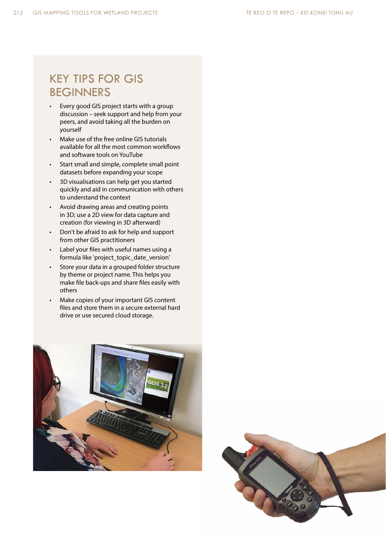# KEY TIPS FOR GIS BEGINNERS

- Every good GIS project starts with a group discussion – seek support and help from your peers, and avoid taking all the burden on yourself
- Make use of the free online GIS tutorials available for all the most common workflows and software tools on YouTube
- Start small and simple, complete small point datasets before expanding your scope
- 3D visualisations can help get you started quickly and aid in communication with others to understand the context
- Avoid drawing areas and creating points in 3D; use a 2D view for data capture and creation (for viewing in 3D afterward)
- Don't be afraid to ask for help and support from other GIS practitioners
- Label your files with useful names using a formula like 'project\_topic\_date\_version'
- Store your data in a grouped folder structure by theme or project name. This helps you make file back-ups and share files easily with others
- Make copies of your important GIS content files and store them in a secure external hard drive or use secured cloud storage.



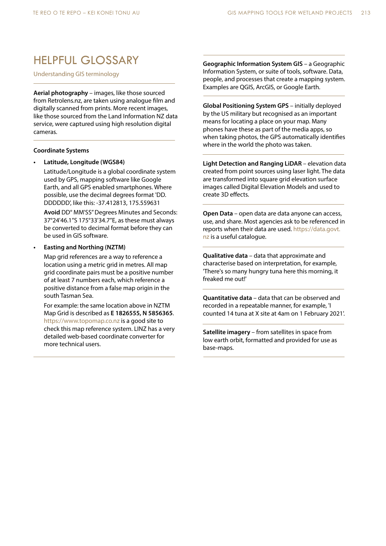# HELPFUL GLOSSARY

Understanding GIS terminology

**Aerial photography** – images, like those sourced from Retrolens.nz, are taken using analogue film and digitally scanned from prints. More recent images, like those sourced from the Land Information NZ data service, were captured using high resolution digital cameras.

#### **Coordinate Systems**

### **• Latitude, Longitude (WGS84)**

Latitude/Longitude is a global coordinate system used by GPS, mapping software like Google Earth, and all GPS enabled smartphones. Where possible, use the decimal degrees format 'DD. DDDDDD', like this: -37.412813, 175.559631

**Avoid** DD° MM'SS" Degrees Minutes and Seconds: 37°24'46.1"S 175°33'34.7"E, as these must always be converted to decimal format before they can be used in GIS software.

#### **• Easting and Northing (NZTM)**

Map grid references are a way to reference a location using a metric grid in metres. All map grid coordinate pairs must be a positive number of at least 7 numbers each, which reference a positive distance from a false map origin in the south Tasman Sea.

For example: the same location above in NZTM Map Grid is described as **E 1826555, N 5856365**. https://www.topomap.co.nz is a good site to check this map reference system. LINZ has a very detailed web-based coordinate converter for more technical users.

**Geographic Information System GIS** – a Geographic Information System, or suite of tools, software. Data, people, and processes that create a mapping system. Examples are QGIS, ArcGIS, or Google Earth.

**Global Positioning System GPS** – initially deployed by the US military but recognised as an important means for locating a place on your map. Many phones have these as part of the media apps, so when taking photos, the GPS automatically identifies where in the world the photo was taken.

**Light Detection and Ranging LiDAR** – elevation data created from point sources using laser light. The data are transformed into square grid elevation surface images called Digital Elevation Models and used to create 3D effects.

**Open Data** – open data are data anyone can access, use, and share. Most agencies ask to be referenced in reports when their data are used. https://data.govt. nz is a useful catalogue.

**Qualitative data** – data that approximate and characterise based on interpretation, for example, 'There's so many hungry tuna here this morning, it freaked me out!'

**Quantitative data** – data that can be observed and recorded in a repeatable manner, for example, 'I counted 14 tuna at X site at 4am on 1 February 2021'.

**Satellite imagery** – from satellites in space from low earth orbit, formatted and provided for use as base-maps.